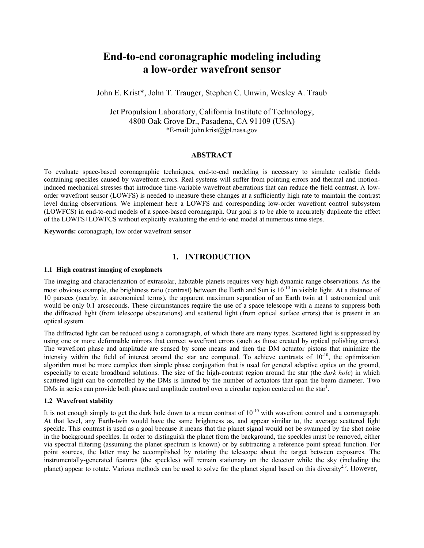# **End-to-end coronagraphic modeling including a low-order wavefront sensor**

John E. Krist\*, John T. Trauger, Stephen C. Unwin, Wesley A. Traub

Jet Propulsion Laboratory, California Institute of Technology, 4800 Oak Grove Dr., Pasadena, CA 91109 (USA) \*E-mail: john.krist@jpl.nasa.gov

#### **ABSTRACT**

To evaluate space-based coronagraphic techniques, end-to-end modeling is necessary to simulate realistic fields containing speckles caused by wavefront errors. Real systems will suffer from pointing errors and thermal and motioninduced mechanical stresses that introduce time-variable wavefront aberrations that can reduce the field contrast. A loworder wavefront sensor (LOWFS) is needed to measure these changes at a sufficiently high rate to maintain the contrast level during observations. We implement here a LOWFS and corresponding low-order wavefront control subsystem (LOWFCS) in end-to-end models of a space-based coronagraph. Our goal is to be able to accurately duplicate the effect of the LOWFS+LOWFCS without explicitly evaluating the end-to-end model at numerous time steps.

**Keywords:** coronagraph, low order wavefront sensor

# **1. INTRODUCTION**

# **1.1 High contrast imaging of exoplanets**

The imaging and characterization of extrasolar, habitable planets requires very high dynamic range observations. As the most obvious example, the brightness ratio (contrast) between the Earth and Sun is 10-10 in visible light. At a distance of 10 parsecs (nearby, in astronomical terms), the apparent maximum separation of an Earth twin at 1 astronomical unit would be only 0.1 arcseconds. These circumstances require the use of a space telescope with a means to suppress both the diffracted light (from telescope obscurations) and scattered light (from optical surface errors) that is present in an optical system.

The diffracted light can be reduced using a coronagraph, of which there are many types. Scattered light is suppressed by using one or more deformable mirrors that correct wavefront errors (such as those created by optical polishing errors). The wavefront phase and amplitude are sensed by some means and then the DM actuator pistons that minimize the intensity within the field of interest around the star are computed. To achieve contrasts of  $10^{-10}$ , the optimization algorithm must be more complex than simple phase conjugation that is used for general adaptive optics on the ground, especially to create broadband solutions. The size of the high-contrast region around the star (the *dark hole*) in which scattered light can be controlled by the DMs is limited by the number of actuators that span the beam diameter. Two DMs in series can provide both phase and amplitude control over a circular region centered on the star<sup>1</sup>.

#### **1.2 Wavefront stability**

It is not enough simply to get the dark hole down to a mean contrast of  $10^{-10}$  with wavefront control and a coronagraph. At that level, any Earth-twin would have the same brightness as, and appear similar to, the average scattered light speckle. This contrast is used as a goal because it means that the planet signal would not be swamped by the shot noise in the background speckles. In order to distinguish the planet from the background, the speckles must be removed, either via spectral filtering (assuming the planet spectrum is known) or by subtracting a reference point spread function. For point sources, the latter may be accomplished by rotating the telescope about the target between exposures. The instrumentally-generated features (the speckles) will remain stationary on the detector while the sky (including the planet) appear to rotate. Various methods can be used to solve for the planet signal based on this diversity<sup>2,3</sup>. However,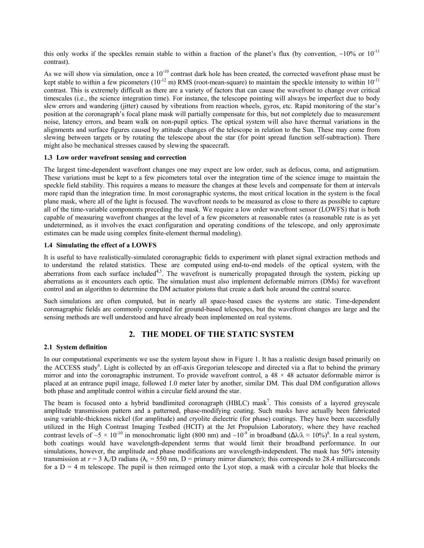this only works if the speckles remain stable to within a fraction of the planet's flux (by convention,  $\sim 10\%$  or  $10^{-11}$ contrast).

As we will show via simulation, once a  $10^{-10}$  contrast dark hole has been created, the corrected wavefront phase must be kept stable to within a few picometers (10<sup>-12</sup> m) RMS (root-mean-square) to maintain the speckle intensity to within  $10^{-11}$ contrast. This is extremely difficult as there are a variety of factors that can cause the wavefront to change over critical timescales (i.e., the science integration time). For instance, the telescope pointing will always be imperfect due to body slew errors and wandering (jitter) caused by vibrations from reaction wheels, gyros, etc. Rapid monitoring of the star's position at the coronagraph's focal plane mask will partially compensate for this, but not completely due to measurement noise, latency errors, and beam walk on non-pupil optics. The optical system will also have thermal variations in the alignments and surface figures caused by attitude changes of the telescope in relation to the Sun. These may come from slewing between targets or by rotating the telescope about the star (for point spread function self-subtraction). There might also be mechanical stresses caused by slewing the spacecraft.

# **1.3 Low order wavefront sensing and correction**

The largest time-dependent wavefront changes one may expect are low order, such as defocus, coma, and astigmatism. These variations must be kept to a few picometers total over the integration time of the science image to maintain the speckle field stability. This requires a means to measure the changes at these levels and compensate for them at intervals more rapid than the integration time. In most coronagraphic systems, the most critical location in the system is the focal plane mask, where all of the light is focused. The wavefront needs to be measured as close to there as possible to capture all of the time-variable components preceding the mask. We require a low order wavefront sensor (LOWFS) that is both capable of measuring wavefront changes at the level of a few picometers at reasonable rates (a reasonable rate is as yet undetermined, as it involves the exact configuration and operating conditions of the telescope, and only approximate estimates can be made using complex finite-element thermal modeling).

# **1.4 Simulating the effect of a LOWFS**

It is useful to have realistically-simulated coronagraphic fields to experiment with planet signal extraction methods and to understand the related statistics. These are computed using end-to-end models of the optical system, with the aberrations from each surface included<sup>4,5</sup>. The wavefront is numerically propagated through the system, picking up aberrations as it encounters each optic. The simulation must also implement deformable mirrors (DMs) for wavefront control and an algorithm to determine the DM actuator pistons that create a dark hole around the central source.

Such simulations are often computed, but in nearly all space-based cases the systems are static. Time-dependent coronagraphic fields are commonly computed for ground-based telescopes, but the wavefront changes are large and the sensing methods are well understood and have already been implemented on real systems.

# **2. THE MODEL OF THE STATIC SYSTEM**

#### **2.1 System definition**

In our computational experiments we use the system layout show in Figure 1. It has a realistic design based primarily on the ACCESS study<sup>6</sup>. Light is collected by an off-axis Gregorian telescope and directed via a flat to behind the primary mirror and into the coronagraphic instrument. To provide wavefront control, a  $48 \times 48$  actuator deformable mirror is placed at an entrance pupil image, followed 1.0 meter later by another, similar DM. This dual DM configuration allows both phase and amplitude control within a circular field around the star.

The beam is focused onto a hybrid bandlimited coronagraph (HBLC) mask<sup>7</sup>. This consists of a layered greyscale amplitude transmission pattern and a patterned, phase-modifying coating. Such masks have actually been fabricated using variable-thickness nickel (for amplitude) and cryolite dielectric (for phase) coatings. They have been successfully utilized in the High Contrast Imaging Testbed (HCIT) at the Jet Propulsion Laboratory, where they have reached contrast levels of ~5 × 10<sup>-10</sup> in monochromatic light (800 nm) and ~10<sup>-9</sup> in broadband ( $\Delta\lambda/\lambda \approx 10\%$ <sup>8</sup>. In a real system, both coatings would have wavelength-dependent terms that would limit their broadband performance. In our simulations, however, the amplitude and phase modifications are wavelength-independent. The mask has 50% intensity transmission at  $r = 3 \lambda_0/D$  radians ( $\lambda_c = 550$  nm, D = primary mirror diameter); this corresponds to 28.4 milliarcseconds for a  $D = 4$  m telescope. The pupil is then reimaged onto the Lyot stop, a mask with a circular hole that blocks the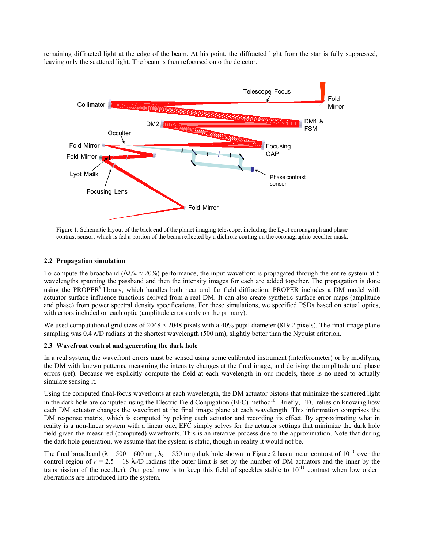remaining diffracted light at the edge of the beam. At his point, the diffracted light from the star is fully suppressed, leaving only the scattered light. The beam is then refocused onto the detector.



Figure 1. Schematic layout of the back end of the planet imaging telescope, including the Lyot coronagraph and phase contrast sensor, which is fed a portion of the beam reflected by a dichroic coating on the coronagraphic occulter mask.

# **2.2 Propagation simulation**

To compute the broadband ( $\Delta\lambda\lambda \approx 20\%$ ) performance, the input wavefront is propagated through the entire system at 5 wavelengths spanning the passband and then the intensity images for each are added together. The propagation is done using the PROPER<sup>9</sup> library, which handles both near and far field diffraction. PROPER includes a DM model with actuator surface influence functions derived from a real DM. It can also create synthetic surface error maps (amplitude and phase) from power spectral density specifications. For these simulations, we specified PSDs based on actual optics, with errors included on each optic (amplitude errors only on the primary).

We used computational grid sizes of  $2048 \times 2048$  pixels with a 40% pupil diameter (819.2 pixels). The final image plane sampling was  $0.4 \lambda/D$  radians at the shortest wavelength (500 nm), slightly better than the Nyquist criterion.

# **2.3 Wavefront control and generating the dark hole**

In a real system, the wavefront errors must be sensed using some calibrated instrument (interferometer) or by modifying the DM with known patterns, measuring the intensity changes at the final image, and deriving the amplitude and phase errors (ref). Because we explicitly compute the field at each wavelength in our models, there is no need to actually simulate sensing it.

Using the computed final-focus wavefronts at each wavelength, the DM actuator pistons that minimize the scattered light in the dark hole are computed using the Electric Field Conjugation (EFC) method<sup>10</sup>. Briefly, EFC relies on knowing how each DM actuator changes the wavefront at the final image plane at each wavelength. This information comprises the DM response matrix, which is computed by poking each actuator and recording its effect. By approximating what in reality is a non-linear system with a linear one, EFC simply solves for the actuator settings that minimize the dark hole field given the measured (computed) wavefronts. This is an iterative process due to the approximation. Note that during the dark hole generation, we assume that the system is static, though in reality it would not be.

The final broadband ( $\lambda = 500 - 600$  nm,  $\lambda_c = 550$  nm) dark hole shown in Figure 2 has a mean contrast of 10<sup>-10</sup> over the control region of  $r = 2.5 - 18$   $\lambda$ <sub>c</sub>/D radians (the outer limit is set by the number of DM actuators and the inner by the transmission of the occulter). Our goal now is to keep this field of speckles stable to 10<sup>-11</sup> contrast when low order aberrations are introduced into the system.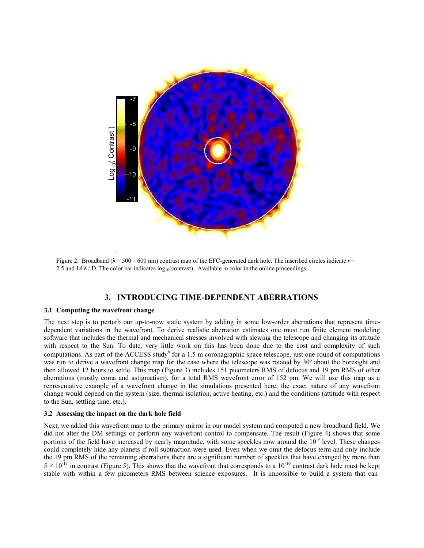

Figure 2. Broadband ( $\lambda = 500 - 600$  nm) contrast map of the EFC-generated dark hole. The inscribed circles indicate  $r =$ 2.5 and 18  $\lambda$  / D. The color bar indicates log<sub>10</sub>(contrast). Available in color in the online proceedings.

# **3. INTRODUCING TIME-DEPENDENT ABERRATIONS**

#### **3.1 Computing the wavefront change**

The next step is to perturb our up-to-now static system by adding in some low-order aberrations that represent timedependent variations in the wavefront. To derive realistic aberration estimates one must run finite element modeling software that includes the thermal and mechanical stresses involved with slewing the telescope and changing its attitude with respect to the Sun. To date, very little work on this has been done due to the cost and complexity of such computations. As part of the ACCESS study<sup>6</sup> for a 1.5 m coronagraphic space telescope, just one round of computations was run to derive a wavefront change map for the case where the telescope was rotated by 30º about the boresight and then allowed 12 hours to settle. This map (Figure 3) includes 151 picometers RMS of defocus and 19 pm RMS of other aberrations (mostly coma and astigmatism), for a total RMS wavefront error of 152 pm. We will use this map as a representative example of a wavefront change in the simulations presented here; the exact nature of any wavefront change would depend on the system (size, thermal isolation, active heating, etc.) and the conditions (attitude with respect to the Sun, settling time, etc.).

#### **3.2 Assessing the impact on the dark hole field**

Next, we added this wavefront map to the primary mirror in our model system and computed a new broadband field. We did not alter the DM settings or perform any wavefront control to compensate. The result (Figure 4) shows that some portions of the field have increased by nearly magnitude, with some speckles now around the  $10^{-9}$  level. These changes could completely hide any planets if roll subtraction were used. Even when we omit the defocus term and only include the 19 pm RMS of the remaining aberrations there are a significant number of speckles that have changed by more than  $5 \times 10^{-11}$  in contrast (Figure 5). This shows that the wavefront that corresponds to a 10<sup>-10</sup> contrast dark hole must be kept stable with within a few picometers RMS between science exposures. It is impossible to build a system that can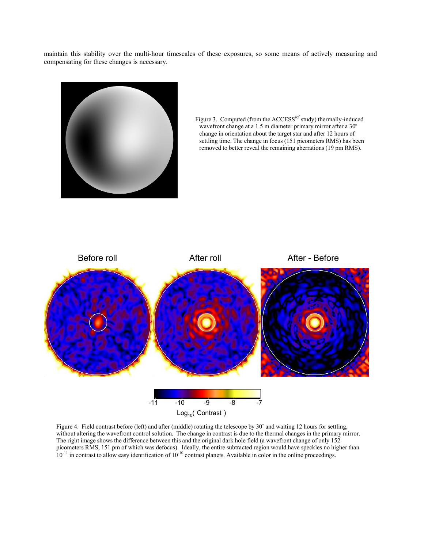maintain this stability over the multi-hour timescales of these exposures, so some means of actively measuring and compensating for these changes is necessary.



Figure 3. Computed (from the ACCESS<sup>ref</sup> study) thermally-induced wavefront change at a 1.5 m diameter primary mirror after a 30º change in orientation about the target star and after 12 hours of settling time. The change in focus (151 picometers RMS) has been removed to better reveal the remaining aberrations (19 pm RMS).



Figure 4. Field contrast before (left) and after (middle) rotating the telescope by 30° and waiting 12 hours for settling, without altering the wavefront control solution. The change in contrast is due to the thermal changes in the primary mirror. The right image shows the difference between this and the original dark hole field (a wavefront change of only 152 picometers RMS, 151 pm of which was defocus). Ideally, the entire subtracted region would have speckles no higher than  $10^{-11}$  in contrast to allow easy identification of  $10^{-10}$  contrast planets. Available in color in the online proceedings.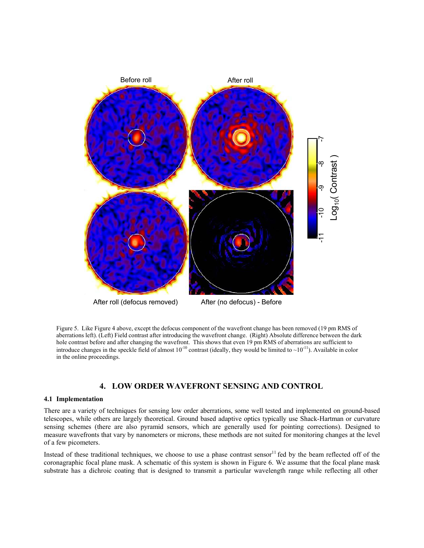

Figure 5. Like Figure 4 above, except the defocus component of the wavefront change has been removed (19 pm RMS of aberrations left). (Left) Field contrast after introducing the wavefront change. (Right) Absolute difference between the dark hole contrast before and after changing the wavefront. This shows that even 19 pm RMS of aberrations are sufficient to introduce changes in the speckle field of almost  $10^{-10}$  contrast (ideally, they would be limited to  $\sim 10^{-11}$ ). Available in color in the online proceedings.

# **4. LOW ORDER WAVEFRONT SENSING AND CONTROL**

# **4.1 Implementation**

There are a variety of techniques for sensing low order aberrations, some well tested and implemented on ground-based telescopes, while others are largely theoretical. Ground based adaptive optics typically use Shack-Hartman or curvature sensing schemes (there are also pyramid sensors, which are generally used for pointing corrections). Designed to measure wavefronts that vary by nanometers or microns, these methods are not suited for monitoring changes at the level of a few picometers.

Instead of these traditional techniques, we choose to use a phase contrast sensor $11$  fed by the beam reflected off of the coronagraphic focal plane mask. A schematic of this system is shown in Figure 6. We assume that the focal plane mask substrate has a dichroic coating that is designed to transmit a particular wavelength range while reflecting all other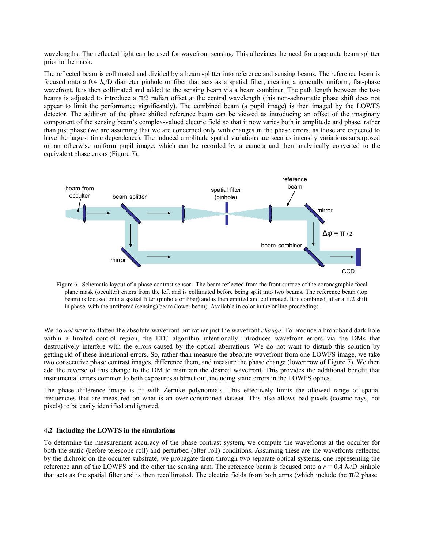wavelengths. The reflected light can be used for wavefront sensing. This alleviates the need for a separate beam splitter prior to the mask.

The reflected beam is collimated and divided by a beam splitter into reference and sensing beams. The reference beam is focused onto a 0.4  $\lambda_c/D$  diameter pinhole or fiber that acts as a spatial filter, creating a generally uniform, flat-phase wavefront. It is then collimated and added to the sensing beam via a beam combiner. The path length between the two beams is adjusted to introduce a  $\pi/2$  radian offset at the central wavelength (this non-achromatic phase shift does not appear to limit the performance significantly). The combined beam (a pupil image) is then imaged by the LOWFS detector. The addition of the phase shifted reference beam can be viewed as introducing an offset of the imaginary component of the sensing beam's complex-valued electric field so that it now varies both in amplitude and phase, rather than just phase (we are assuming that we are concerned only with changes in the phase errors, as those are expected to have the largest time dependence). The induced amplitude spatial variations are seen as intensity variations superposed on an otherwise uniform pupil image, which can be recorded by a camera and then analytically converted to the equivalent phase errors (Figure 7).



Figure 6. Schematic layout of a phase contrast sensor. The beam reflected from the front surface of the coronagraphic focal plane mask (occulter) enters from the left and is collimated before being split into two beams. The reference beam (top beam) is focused onto a spatial filter (pinhole or fiber) and is then emitted and collimated. It is combined, after a  $\pi/2$  shift in phase, with the unfiltered (sensing) beam (lower beam). Available in color in the online proceedings.

We do *not* want to flatten the absolute wavefront but rather just the wavefront *change*. To produce a broadband dark hole within a limited control region, the EFC algorithm intentionally introduces wavefront errors via the DMs that destructively interfere with the errors caused by the optical aberrations. We do not want to disturb this solution by getting rid of these intentional errors. So, rather than measure the absolute wavefront from one LOWFS image, we take two consecutive phase contrast images, difference them, and measure the phase change (lower row of Figure 7). We then add the reverse of this change to the DM to maintain the desired wavefront. This provides the additional benefit that instrumental errors common to both exposures subtract out, including static errors in the LOWFS optics.

The phase difference image is fit with Zernike polynomials. This effectively limits the allowed range of spatial frequencies that are measured on what is an over-constrained dataset. This also allows bad pixels (cosmic rays, hot pixels) to be easily identified and ignored.

#### **4.2 Including the LOWFS in the simulations**

To determine the measurement accuracy of the phase contrast system, we compute the wavefronts at the occulter for both the static (before telescope roll) and perturbed (after roll) conditions. Assuming these are the wavefronts reflected by the dichroic on the occulter substrate, we propagate them through two separate optical systems, one representing the reference arm of the LOWFS and the other the sensing arm. The reference beam is focused onto a  $r = 0.4 \lambda_c/D$  pinhole that acts as the spatial filter and is then recollimated. The electric fields from both arms (which include the π/2 phase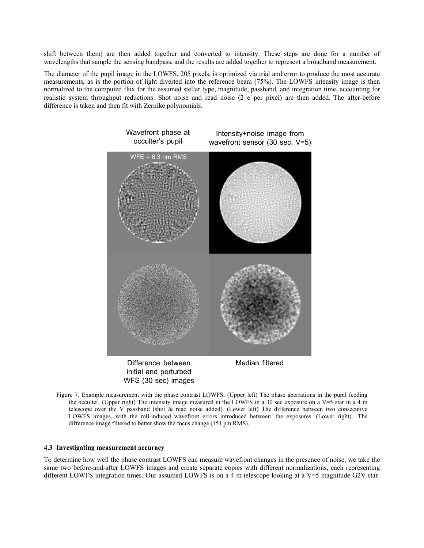shift between them) are then added together and converted to intensity. These steps are done for a number of wavelengths that sample the sensing bandpass, and the results are added together to represent a broadband measurement.

The diameter of the pupil image in the LOWFS, 205 pixels, is optimized via trial and error to produce the most accurate measurements, as is the portion of light diverted into the reference beam (75%). The LOWFS intensity image is then normalized to the computed flux for the assumed stellar type, magnitude, passband, and integration time, accounting for realistic system throughput reductions. Shot noise and read noise (2 e<sup>-</sup> per pixel) are then added. The after-before difference is taken and then fit with Zernike polynomials.



WFS (30 sec) images Figure 7. Example measurement with the phase contrast LOWFS. (Upper left) The phase aberrations in the pupil feeding the occulter. (Upper right) The intensity image measured in the LOWFS in a 30 sec exposure on a  $V=5$  star in a 4 m telescope over the V passband (shot & read noise added). (Lower left) The difference between two consecutive LOWFS images, with the roll-induced wavefront errors introduced between the exposures. (Lower right) The difference image filtered to better show the focus change (151 pm RMS).

#### **4.3 Investigating measurement accuracy**

To determine how well the phase contrast LOWFS can measure wavefront changes in the presence of noise, we take the same two before-and-after LOWFS images and create separate copies with different normalizations, each representing different LOWFS integration times. Our assumed LOWFS is on a 4 m telescope looking at a V=5 magnitude G2V star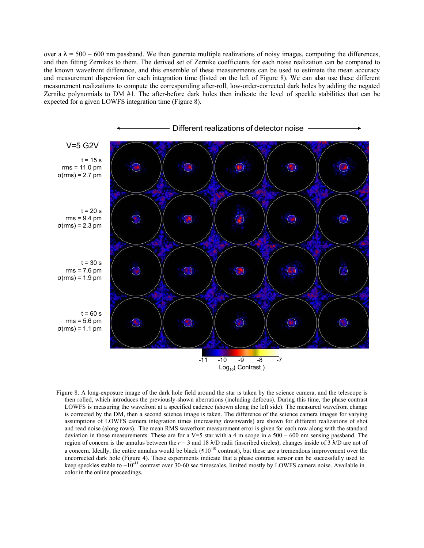over a  $\lambda = 500 - 600$  nm passband. We then generate multiple realizations of noisy images, computing the differences, and then fitting Zernikes to them. The derived set of Zernike coefficients for each noise realization can be compared to the known wavefront difference, and this ensemble of these measurements can be used to estimate the mean accuracy and measurement dispersion for each integration time (listed on the left of Figure 8). We can also use these different measurement realizations to compute the corresponding after-roll, low-order-corrected dark holes by adding the negated Zernike polynomials to DM #1. The after-before dark holes then indicate the level of speckle stabilities that can be expected for a given LOWFS integration time (Figure 8).



Figure 8. A long-exposure image of the dark hole field around the star is taken by the science camera, and the telescope is then rolled, which introduces the previously-shown aberrations (including defocus). During this time, the phase contrast LOWFS is measuring the wavefront at a specified cadence (shown along the left side). The measured wavefront change is corrected by the DM, then a second science image is taken. The difference of the science camera images for varying assumptions of LOWFS camera integration times (increasing downwards) are shown for different realizations of shot and read noise (along rows). The mean RMS wavefront measurement error is given for each row along with the standard deviation in those measurements. These are for a  $V=5$  star with a 4 m scope in a  $500 - 600$  nm sensing passband. The region of concern is the annulus between the  $r = 3$  and 18  $\lambda/D$  radii (inscribed circles); changes inside of  $3\lambda/D$  are not of a concern. Ideally, the entire annulus would be black  $(≤10<sup>-10</sup>$  contrast), but these are a tremendous improvement over the uncorrected dark hole (Figure 4). These experiments indicate that a phase contrast sensor can be successfully used to keep speckles stable to  $\sim 10^{-11}$  contrast over 30-60 sec timescales, limited mostly by LOWFS camera noise. Available in color in the online proceedings.